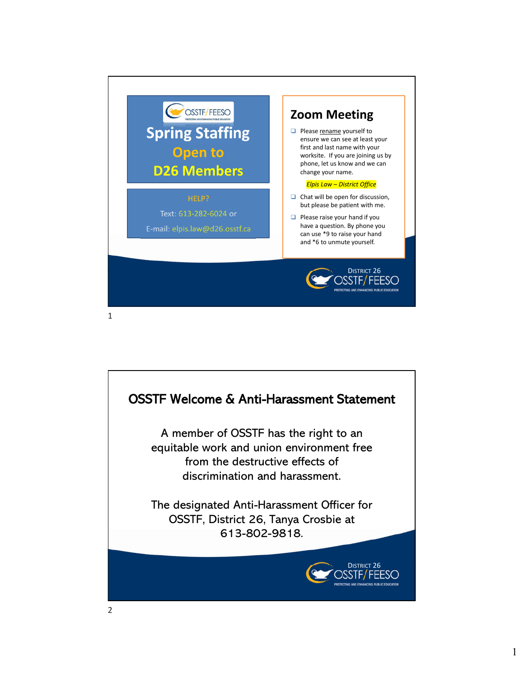

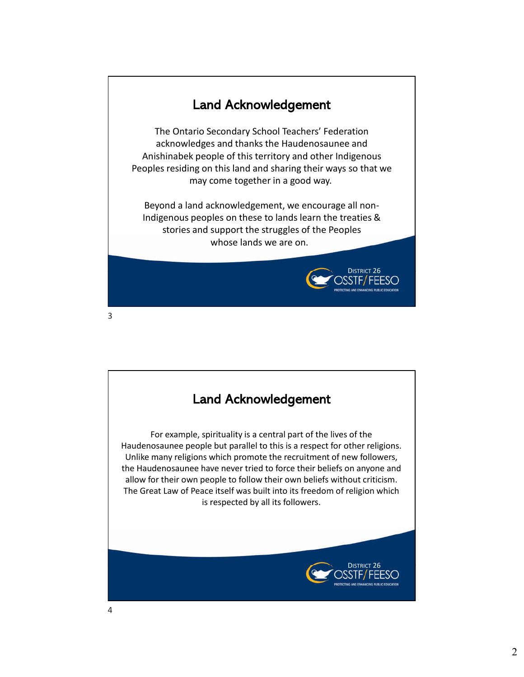## Land Acknowledgement

The Ontario Secondary School Teachers' Federation acknowledges and thanks the Haudenosaunee and Anishinabek people of this territory and other Indigenous Peoples residing on this land and sharing their ways so that we may come together in a good way.

Beyond a land acknowledgement, we encourage all non-Indigenous peoples on these to lands learn the treaties & stories and support the struggles of the Peoples whose lands we are on.

DISTRICT 26



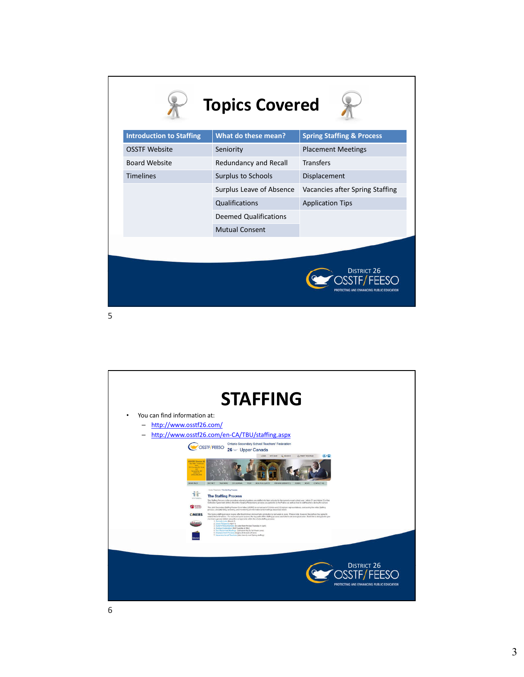|                                 | <b>Topics Covered</b>        |                                      |
|---------------------------------|------------------------------|--------------------------------------|
| <b>Introduction to Staffing</b> | What do these mean?          | <b>Spring Staffing &amp; Process</b> |
| <b>OSSTF Website</b>            | Seniority                    | <b>Placement Meetings</b>            |
| <b>Board Website</b>            | Redundancy and Recall        | <b>Transfers</b>                     |
| <b>Timelines</b>                | Surplus to Schools           | Displacement                         |
|                                 | Surplus Leave of Absence     | Vacancies after Spring Staffing      |
|                                 | Qualifications               | <b>Application Tips</b>              |
|                                 | <b>Deemed Qualifications</b> |                                      |
|                                 | <b>Mutual Consent</b>        |                                      |
|                                 |                              | <b>DISTRICT 26</b>                   |



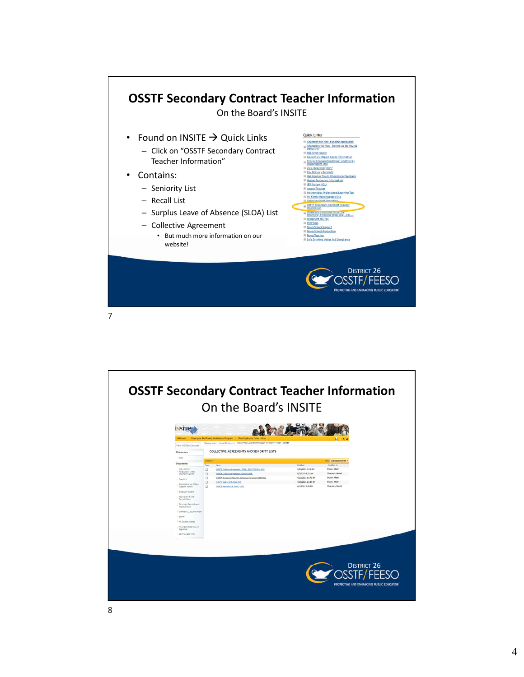

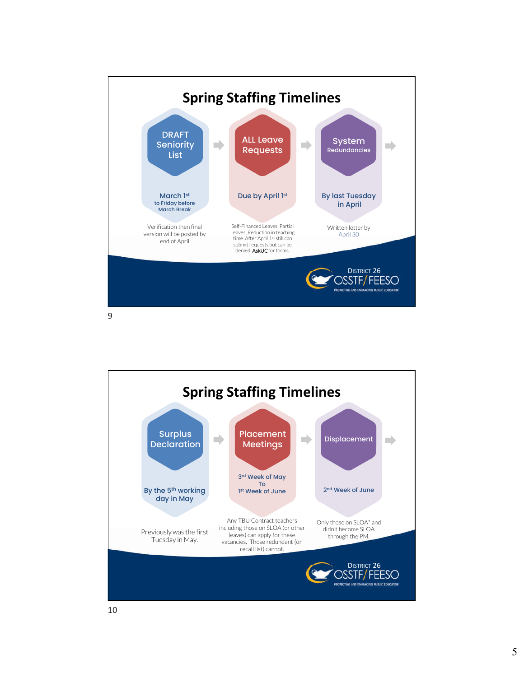

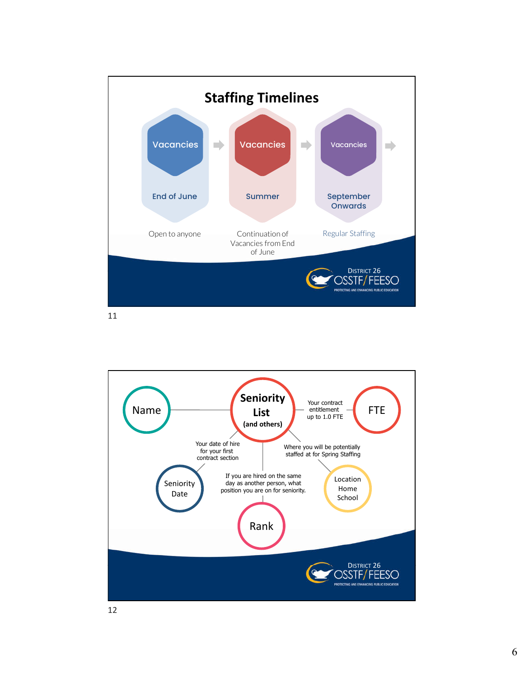

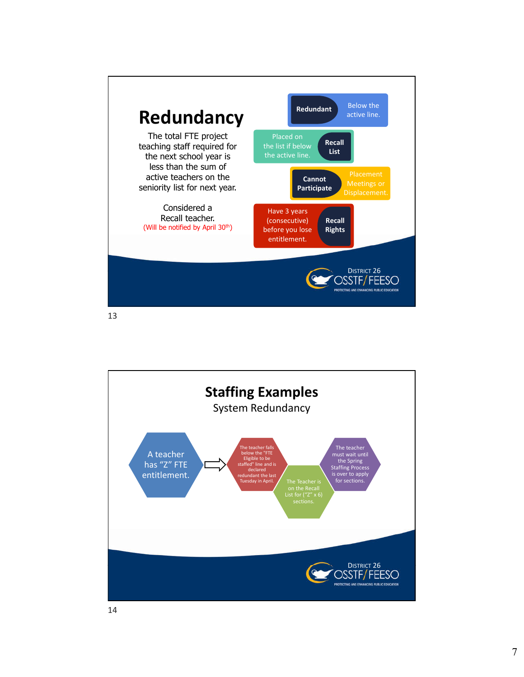

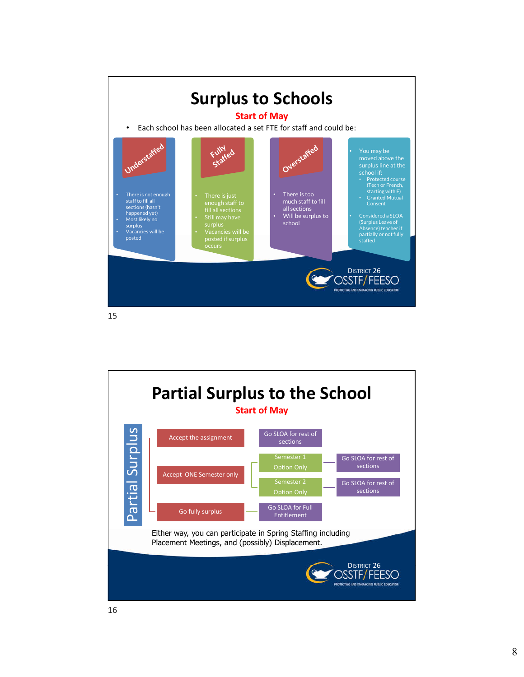

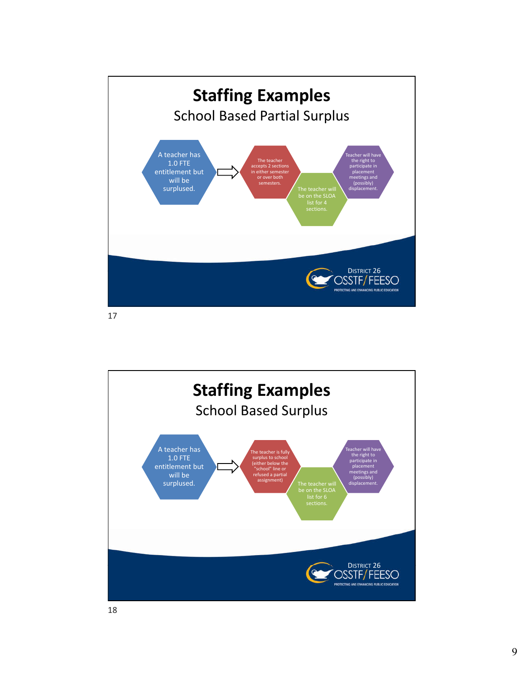

DISTRICT 26<br>DSSTF/FEESO **Staffing Examples** School Based Surplus A teacher has 1.0 FTE entitlement but will be surplused. The teacher is fully surplus to school (either below the "school" line or refused a partial assignment)<br>
be on the SLOA<br>
list for 6<br>
sections. Teacher will have the right to participate in placement meetings and (possibly) displacement.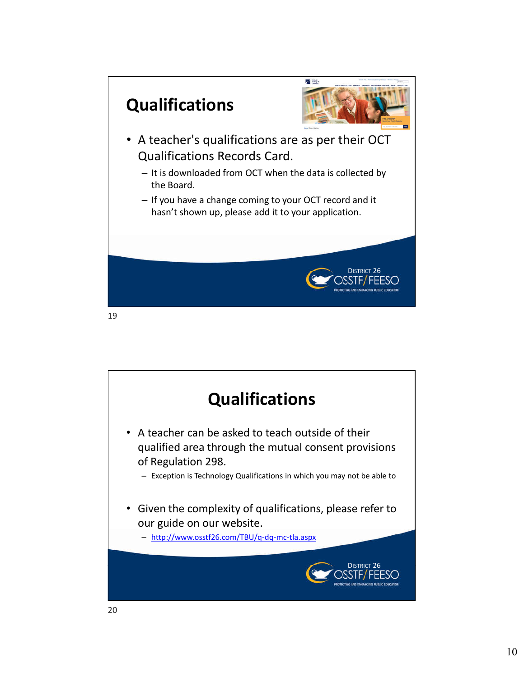

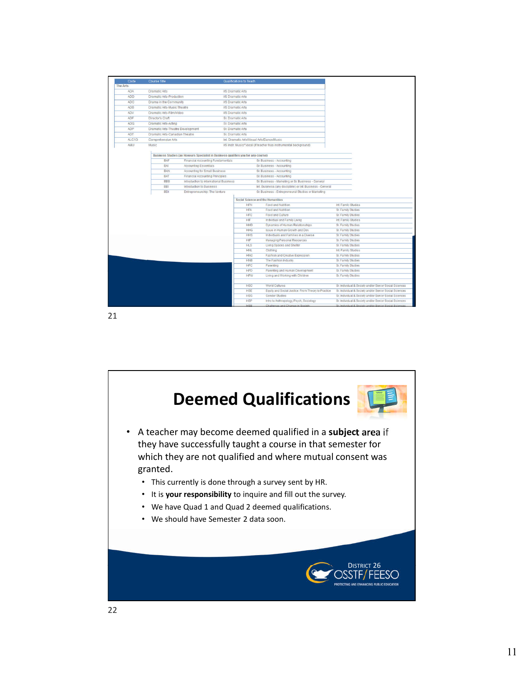| Code            | <b>Course Title</b>               |                                                                                   | Qualifications to Teach                    |            |                                                                 |                                                        |
|-----------------|-----------------------------------|-----------------------------------------------------------------------------------|--------------------------------------------|------------|-----------------------------------------------------------------|--------------------------------------------------------|
| <b>The Arts</b> |                                   |                                                                                   |                                            |            |                                                                 |                                                        |
| <b>ADA</b>      | <b>Dramatic Arts</b>              |                                                                                   | <b>I/S Dramatic Arts</b>                   |            |                                                                 |                                                        |
| <b>ADD</b>      | Dramatic Arts-Production          |                                                                                   | <b>I/S Dramatic Arts</b>                   |            |                                                                 |                                                        |
| <b>ADC</b>      | Drama in the Community            |                                                                                   | <b>I/S Dramatic Arts</b>                   |            |                                                                 |                                                        |
| <b>ADB</b>      | Dramatic Arts-Music Theatre       |                                                                                   | <b>US Dramatic Arts</b>                    |            |                                                                 |                                                        |
| ADV             | Dramatic Arts-Film/Video          |                                                                                   | <b>US Dramatic Arts</b>                    |            |                                                                 |                                                        |
| ADF             | Director's Craft                  |                                                                                   | Sr. Dramatic Arts                          |            |                                                                 |                                                        |
| <b>ADG</b>      | Dramatic Arts-Acting              |                                                                                   | Sr. Dramatic Arts                          |            |                                                                 |                                                        |
| ADP             | Dramatic Arts-Theatre Development |                                                                                   | Sr. Dramatic Arts                          |            |                                                                 |                                                        |
| ADT             | Dramatic Arts-Canadian Theatre    |                                                                                   | Sr. Dramatic Arts                          |            |                                                                 |                                                        |
| ALC10           | Comprehensive Arts                |                                                                                   | Int. Dramatic Arts/Visual Arts/Dance/Music |            |                                                                 |                                                        |
| AMU             | Music                             |                                                                                   |                                            |            | US Instr. Music/"Vocal (if teacher has instrumental background) |                                                        |
|                 |                                   |                                                                                   |                                            |            |                                                                 |                                                        |
|                 |                                   | Business Studies (an Honours Specialist in Business qualifies you for any course) |                                            |            |                                                                 |                                                        |
|                 | <b>BAF</b>                        | Financial Accounting Fundamentals                                                 |                                            |            | Sr. Business - Accounting                                       |                                                        |
|                 | BAI                               | Accounting Essentials                                                             |                                            |            | Sr. Business - Accounting                                       |                                                        |
|                 | <b>BAN</b>                        | Accounting for Small Business                                                     |                                            |            | Sr. Business - Accounting                                       |                                                        |
|                 | <b>BAT</b>                        | Financial Accounting Principles.                                                  |                                            |            | Sr. Business - Accounting                                       |                                                        |
|                 | <b>BBB</b>                        | Introduction to International Business                                            |                                            |            | Sr. Business - Marketing or Sr. Business - General              |                                                        |
|                 | <b>BBI</b>                        | Introduction to Business                                                          |                                            |            | Int. Business (any discipline) or Int. Business - General       |                                                        |
|                 | <b>BDI</b>                        | Entrepreneurship: The Venture                                                     |                                            |            | Sr. Business - Entrepreneural Studies or Marketing              |                                                        |
|                 |                                   |                                                                                   |                                            |            | Social Science and the Humanities                               |                                                        |
|                 |                                   |                                                                                   |                                            | <b>HFN</b> | Food and Nutrition                                              | Int. Family Studies                                    |
|                 |                                   |                                                                                   |                                            | <b>HFA</b> | Food and Nutrition                                              | Sr. Family Studies                                     |
|                 |                                   |                                                                                   |                                            | <b>HFC</b> | Food and Culture                                                | Sr. Family Studies                                     |
|                 |                                   |                                                                                   |                                            | <b>HIF</b> | Individual and Family Living                                    | Int. Family Studies                                    |
|                 |                                   |                                                                                   |                                            | <b>HHD</b> | Dynamics of Human Relationships                                 | Sr. Family Studies                                     |
|                 |                                   |                                                                                   |                                            | <b>HHG</b> | Issue in Human Growth and Dev.                                  | Sr. Family Studies                                     |
|                 |                                   |                                                                                   |                                            | <b>HHS</b> | Individuals and Families in a Diverse                           | Sr. Family Studies                                     |
|                 |                                   |                                                                                   |                                            | HIP        | Managing Personal Resources                                     | Sr. Family Studies                                     |
|                 |                                   |                                                                                   |                                            | <b>HLS</b> | Living Spaces and Shelter                                       | Sr. Family Studies                                     |
|                 |                                   |                                                                                   |                                            | HNL        | Clothing                                                        | Int. Family Studies                                    |
|                 |                                   |                                                                                   |                                            | <b>HNC</b> | Fashion and Creative Expression                                 | Sr. Family Studies                                     |
|                 |                                   |                                                                                   |                                            | <b>HNB</b> | The Fashion Industry                                            | Sr. Family Studies                                     |
|                 |                                   |                                                                                   |                                            | <b>HPC</b> | Parenting                                                       | Sr. Family Studies                                     |
|                 |                                   |                                                                                   |                                            | <b>HPD</b> | Parenting and Human Development                                 | Sr. Family Studies                                     |
|                 |                                   |                                                                                   |                                            | <b>HPW</b> | Living and Working with Children                                | Sr. Family Studies                                     |
|                 |                                   |                                                                                   |                                            | <b>HSC</b> | World Cultures                                                  | Sr. Individual & Society and/or Senior Social Sciences |
|                 |                                   |                                                                                   |                                            | <b>HSE</b> | Equity and Social Justice: From Theory to Practice              | Sr. Individual & Society and/or Senior Social Sciences |
|                 |                                   |                                                                                   |                                            | <b>HSG</b> | Gender Studies                                                  | Sr. Individual & Society and/or Senior Social Sciences |
|                 |                                   |                                                                                   |                                            | <b>HSP</b> | Intro to Anthropology, Psych, Sociology                         | Sr. Individual & Society and/or Senior Social Sciences |
|                 |                                   |                                                                                   |                                            | Tinn       | Challenge and Channe in Society                                 | Sr Individual & Society and/or Senior Social Scien-    |

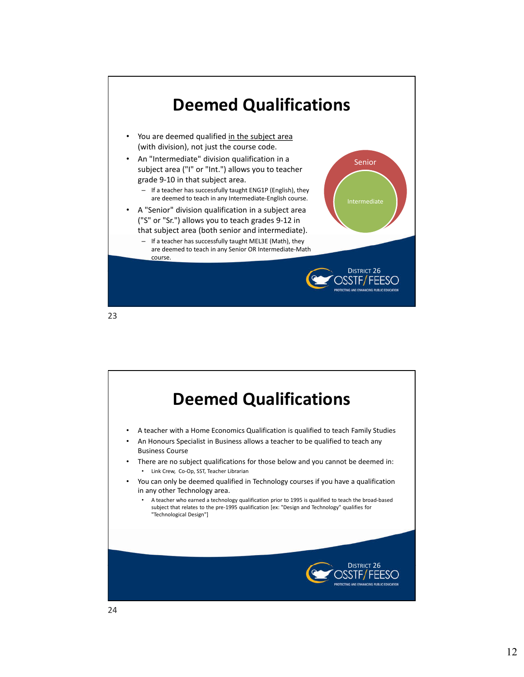

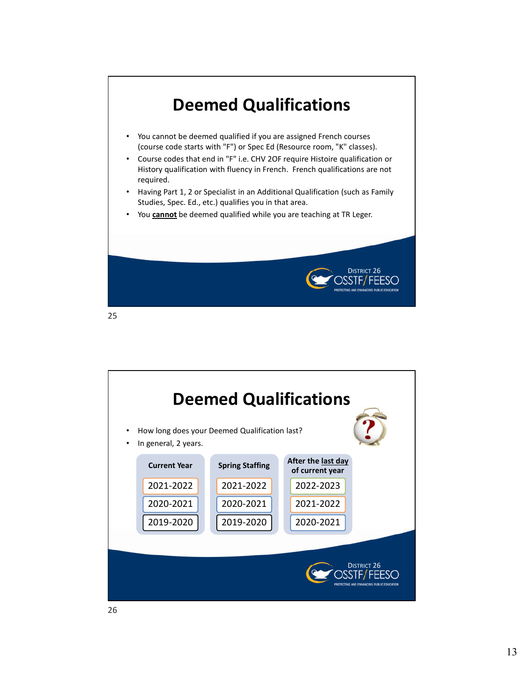

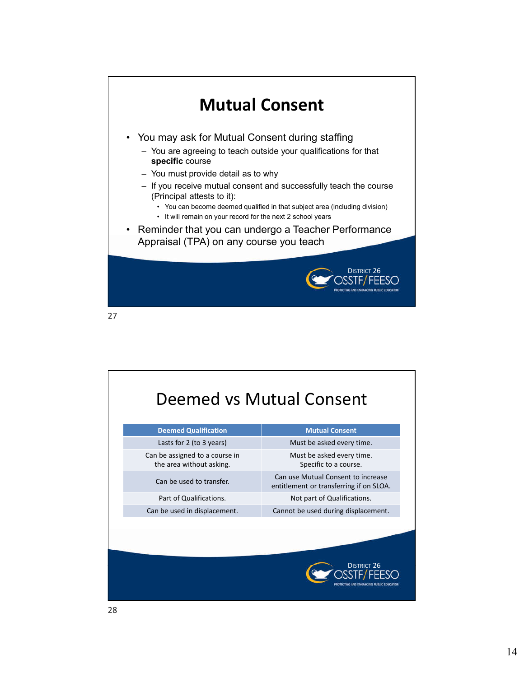

|                                                            | Deemed vs Mutual Consent                                                      |
|------------------------------------------------------------|-------------------------------------------------------------------------------|
| <b>Deemed Qualification</b>                                | <b>Mutual Consent</b>                                                         |
| Lasts for 2 (to 3 years)                                   | Must be asked every time.                                                     |
| Can be assigned to a course in<br>the area without asking. | Must be asked every time.<br>Specific to a course.                            |
| Can be used to transfer.                                   | Can use Mutual Consent to increase<br>entitlement or transferring if on SLOA. |
| Part of Qualifications.                                    | Not part of Qualifications.                                                   |
| Can be used in displacement.                               | Cannot be used during displacement.                                           |
|                                                            | <b>DISTRICT 26</b>                                                            |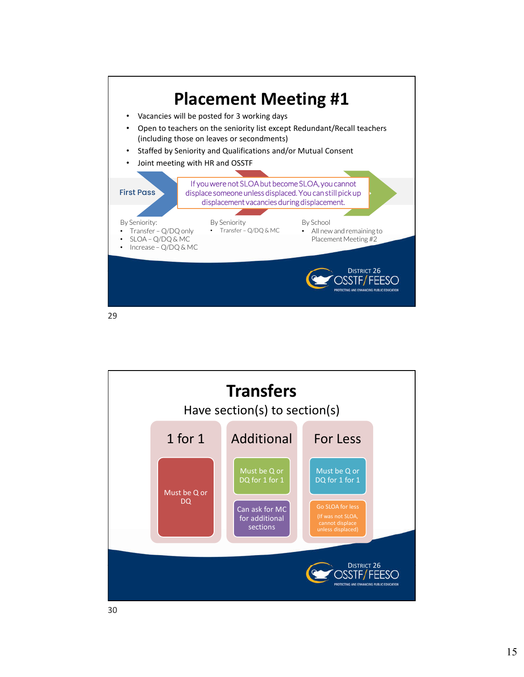

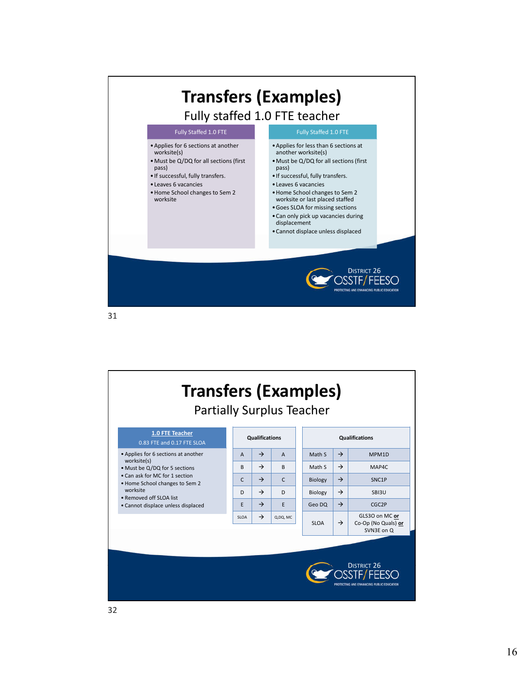

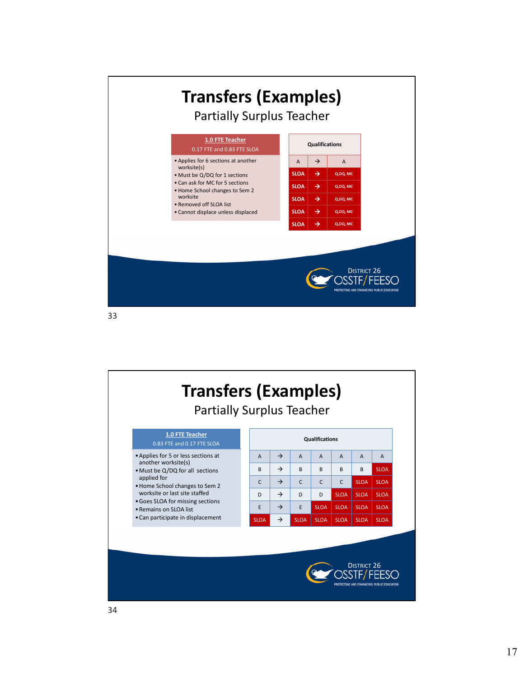

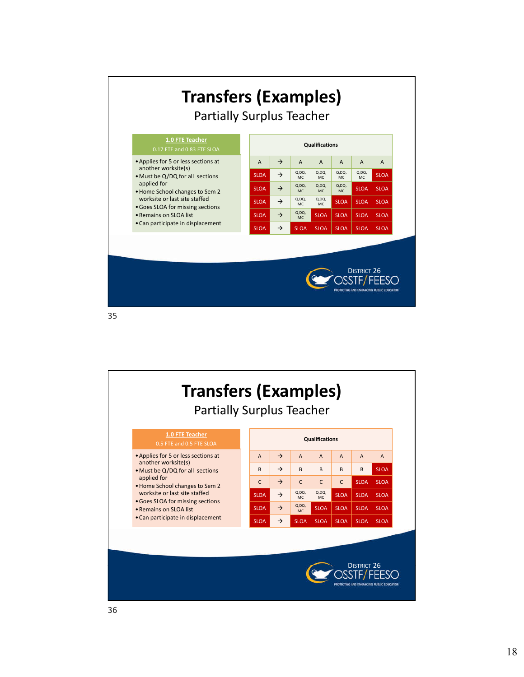

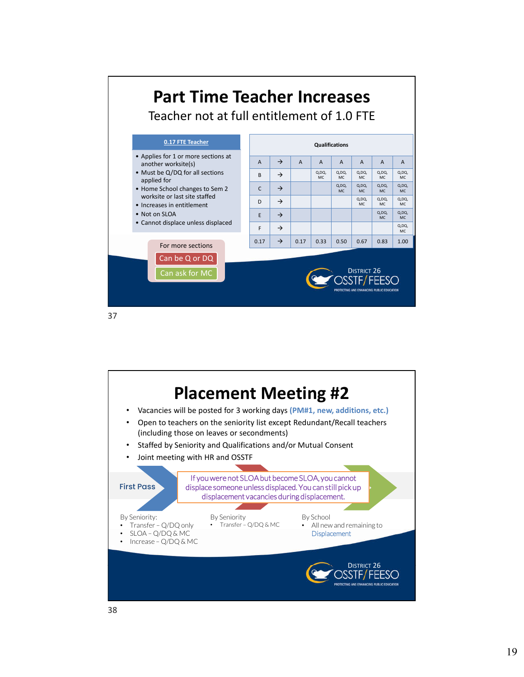

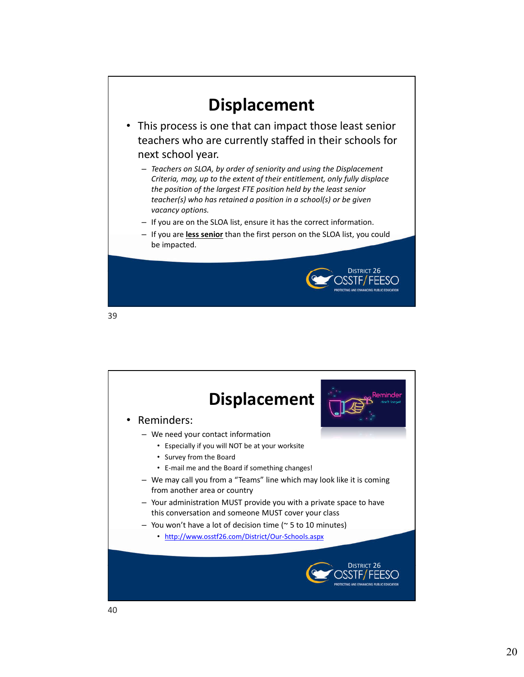

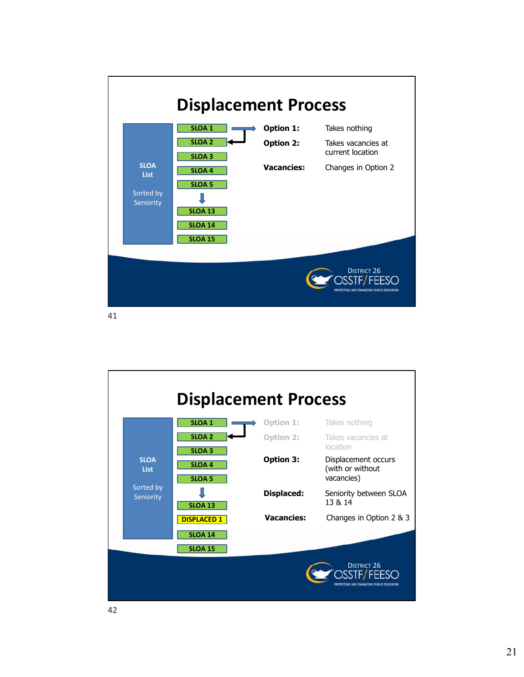

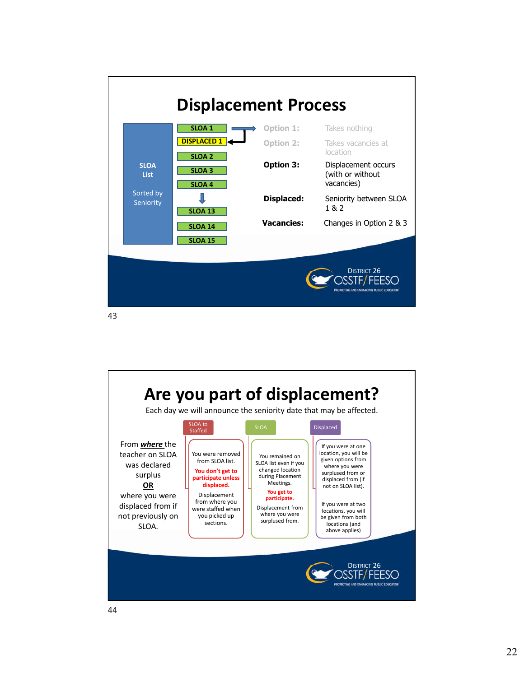

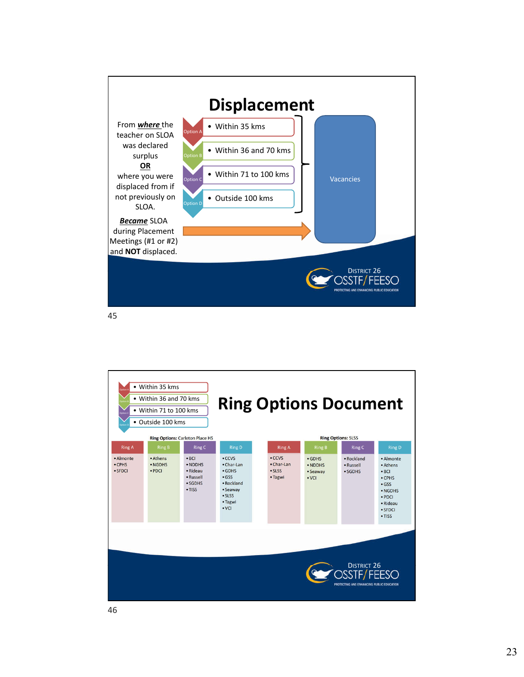

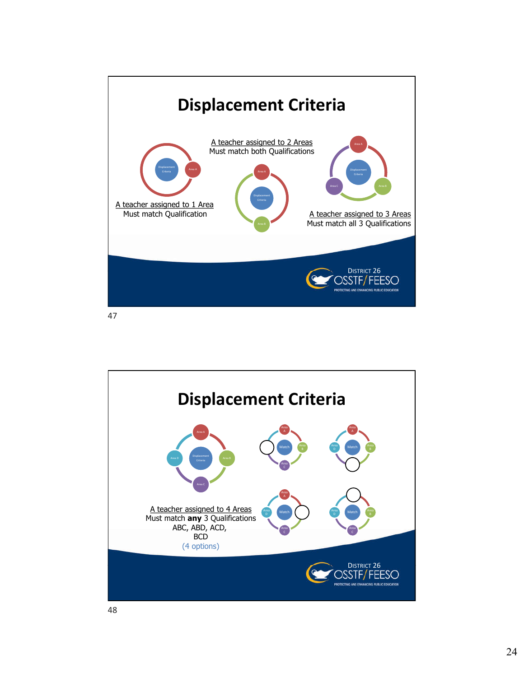

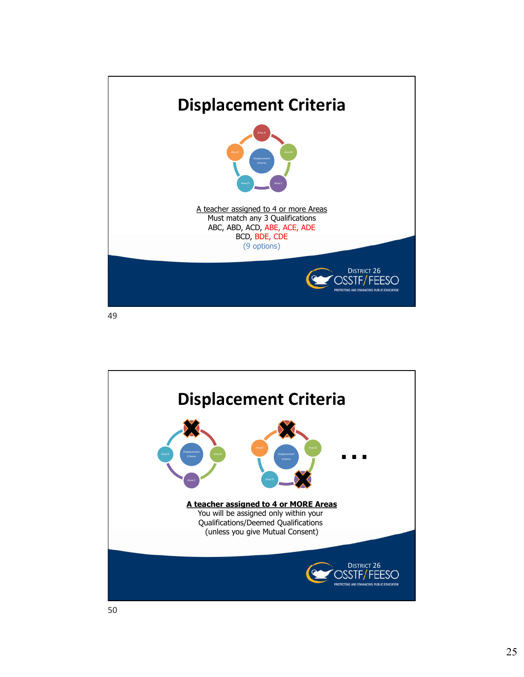

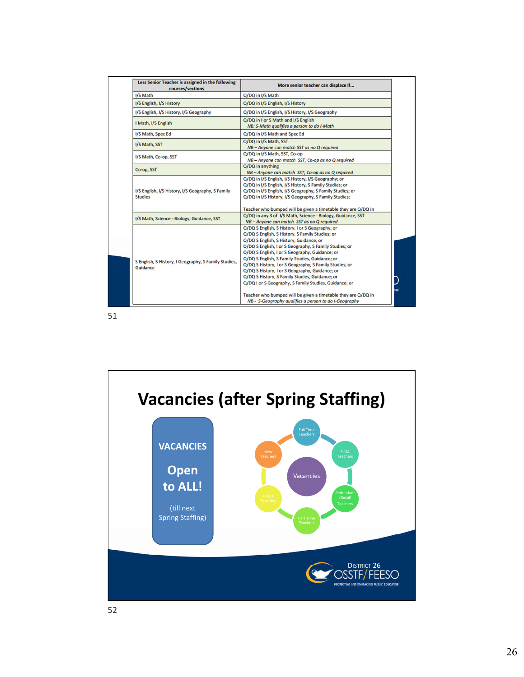| Less Senior Teacher is assigned in the following<br>courses/sections | More senior teacher can displace if                                                                                                                                                                                                                                                                                                                                                                                                                                                                                                                                                                                                                          |  |
|----------------------------------------------------------------------|--------------------------------------------------------------------------------------------------------------------------------------------------------------------------------------------------------------------------------------------------------------------------------------------------------------------------------------------------------------------------------------------------------------------------------------------------------------------------------------------------------------------------------------------------------------------------------------------------------------------------------------------------------------|--|
| I/S Math                                                             | Q/DQ in I/S Math                                                                                                                                                                                                                                                                                                                                                                                                                                                                                                                                                                                                                                             |  |
| I/S English, I/S History                                             | Q/DQ in I/S English, I/S History                                                                                                                                                                                                                                                                                                                                                                                                                                                                                                                                                                                                                             |  |
| I/S English, I/S History, I/S Geography                              | Q/DQ in I/S English, I/S History, I/S Geography                                                                                                                                                                                                                                                                                                                                                                                                                                                                                                                                                                                                              |  |
| I Math, I/S English                                                  | Q/DQ in I or S Math and I/S English<br>NB: S-Math qualifies a person to do I-Math                                                                                                                                                                                                                                                                                                                                                                                                                                                                                                                                                                            |  |
| I/S Math, Spec Ed                                                    | Q/DQ in I/S Math and Spec Ed                                                                                                                                                                                                                                                                                                                                                                                                                                                                                                                                                                                                                                 |  |
| I/S Math, SST                                                        | Q/DQ in I/S Math, SST<br>NB-Anyone can match SST as no Q required                                                                                                                                                                                                                                                                                                                                                                                                                                                                                                                                                                                            |  |
| I/S Math, Co-op, SST                                                 | Q/DQ in I/S Math, SST, Co-op<br>NB-Anyone can match SST, Co-op as no Q required                                                                                                                                                                                                                                                                                                                                                                                                                                                                                                                                                                              |  |
| Co-op, SST                                                           | Q/DQ in anything<br>NB-Anyone can match SST, Co-op as no Q required                                                                                                                                                                                                                                                                                                                                                                                                                                                                                                                                                                                          |  |
| I/S English, I/S History, I/S Geography, S Family<br><b>Studies</b>  | Q/DQ in I/S English, I/S History, I/S Geography; or<br>Q/DQ in I/S English, I/S History, S Family Studies; or<br>Q/DQ in I/S English, I/S Geography, S Family Studies; or<br>Q/DQ in I/S History, I/S Geography, S Family Studies;<br>Teacher who bumped will be given a timetable they are Q/DQ in                                                                                                                                                                                                                                                                                                                                                          |  |
| I/S Math, Science - Biology, Guidance, SST                           | Q/DQ in any 3 of I/S Math, Science - Biology, Guidance, SST<br>NB-Anyone can match SST as no Q required                                                                                                                                                                                                                                                                                                                                                                                                                                                                                                                                                      |  |
| S English, S History, I Geography, S Family Studies,<br>Guidance     | Q/DQ S English, S History, I or S Geography; or<br>Q/DQ S English, S History, S Family Studies; or<br>Q/DQ S English, S History, Guidance; or<br>Q/DQ S English, I or S Geography, S Family Studies; or<br>Q/DQ S English, I or S Geography, Guidance; or<br>Q/DQ S English, S Family Studies, Guidance; or<br>Q/DQ S History, I or S Geography, S Family Studies; or<br>Q/DQ S History, I or S Geography, Guidance; or<br>Q/DQ S History, S Family Studies, Guidance; or<br>Q/DQ I or S Geography, S Family Studies, Guidance; or<br>Teacher who bumped will be given a timetable they are Q/DQ in<br>NB - S-Geography qualifies a person to do I-Geography |  |

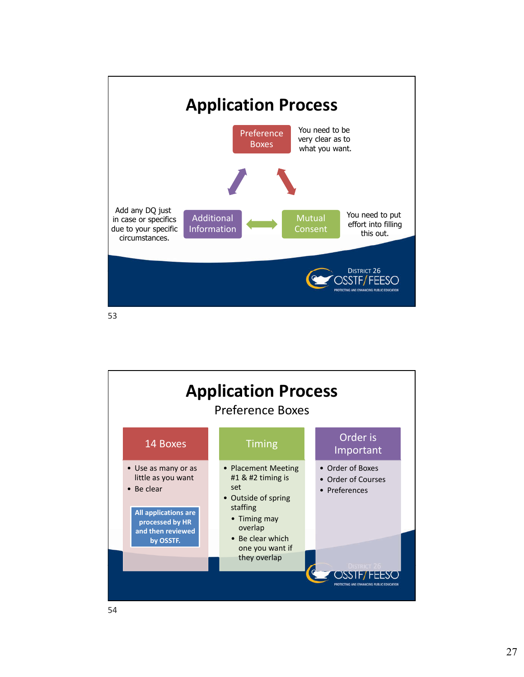

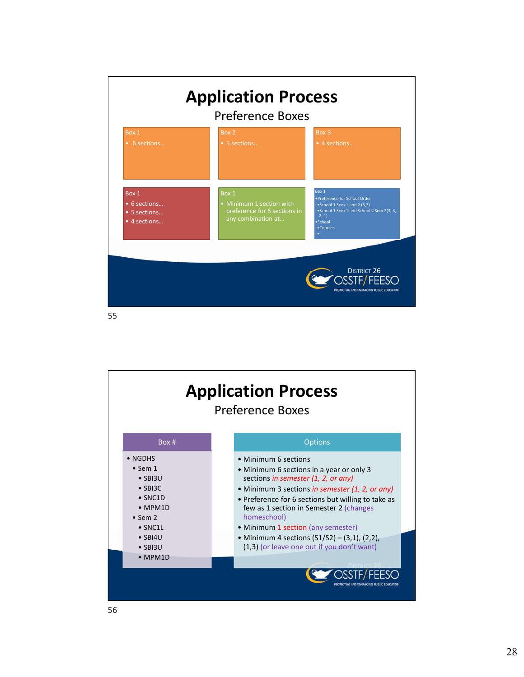

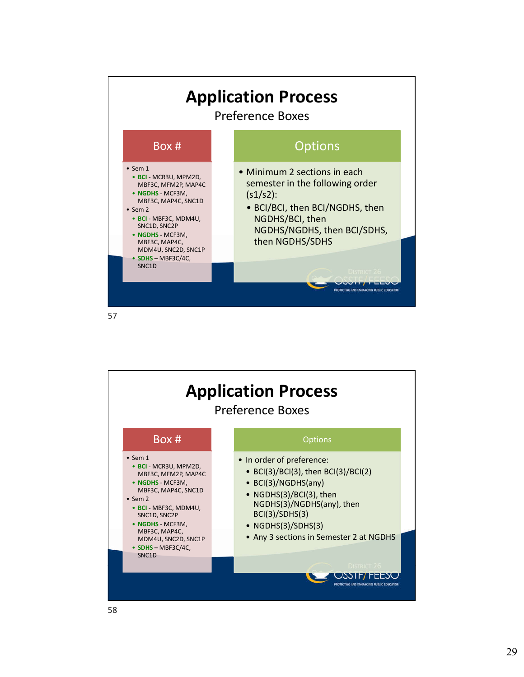

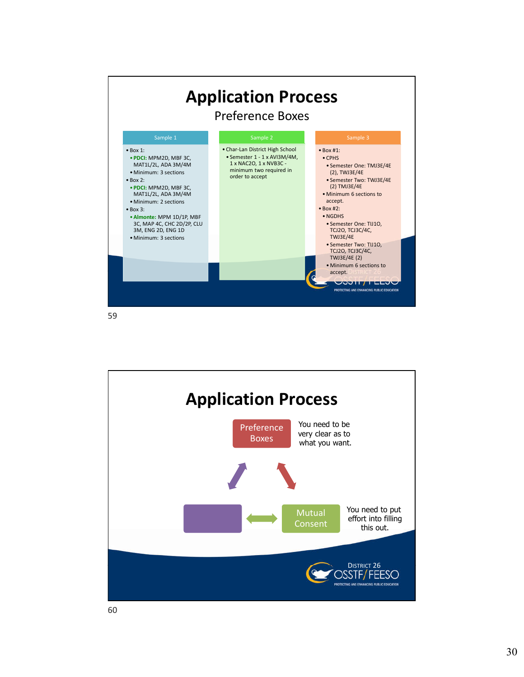

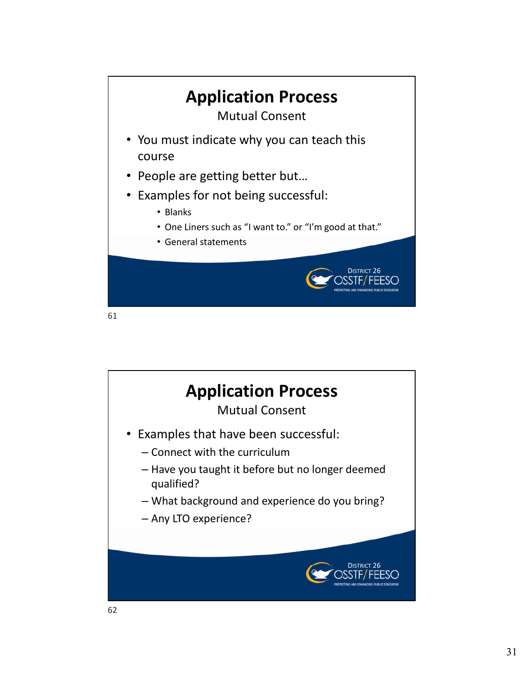

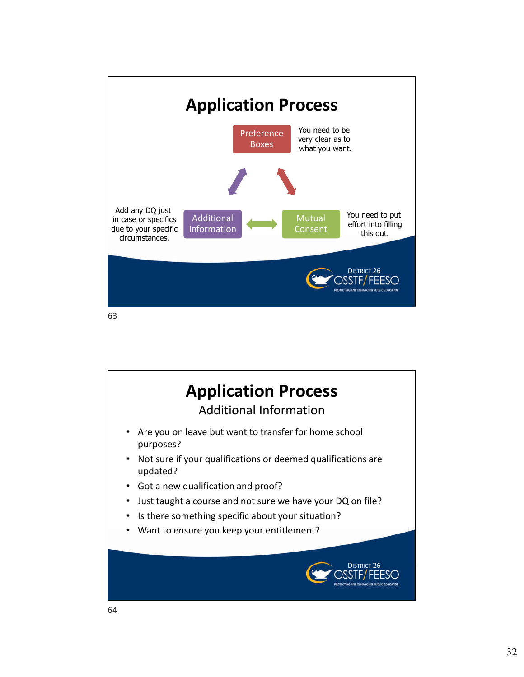